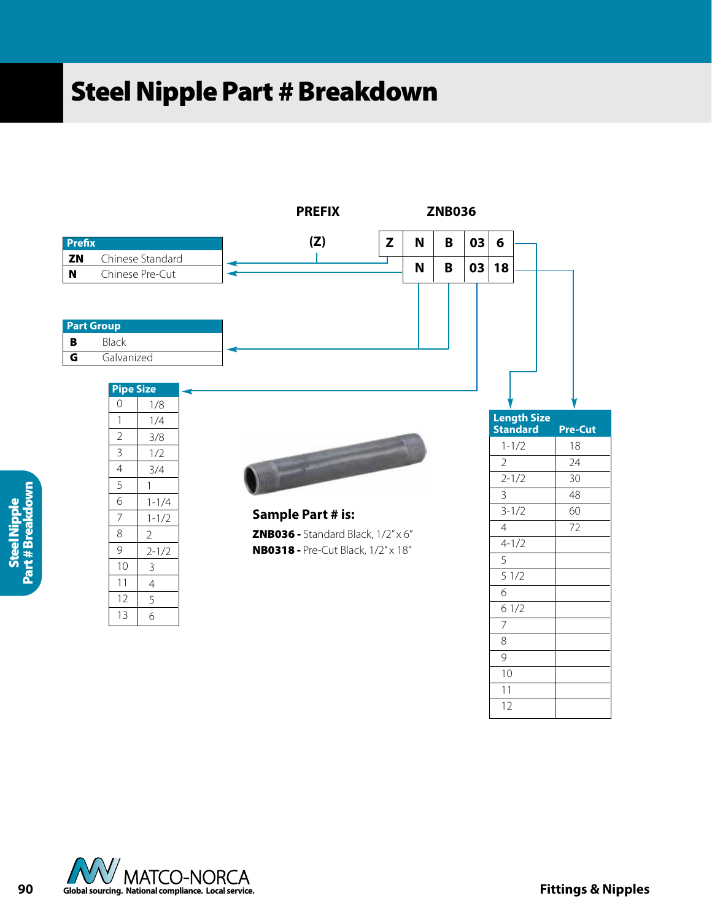## **Steel Nipple Part # Breakdown**